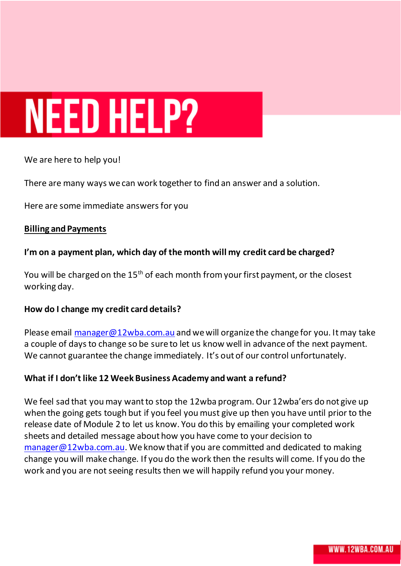We are here to help you!

There are many ways we can work together to find an answer and a solution.

Here are some immediate answers for you

### **Billing and Payments**

### **I'm on a payment plan, which day of the month will my credit card be charged?**

You will be charged on the  $15<sup>th</sup>$  of each month from your first payment, or the closest working day.

### **How do I change my credit card details?**

Please email  $\frac{m}{n}$  manager @12wba.com.au and we will organize the change for you. It may take a couple of days to change so be sure to let us know well in advance of the next payment. We cannot guarantee the change immediately. It's out of our control unfortunately.

### **What if I don't like 12 Week Business Academy and want a refund?**

We feel sad that you may want to stop the 12wba program. Our 12wba'ers do not give up when the going gets tough but if you feel you must give up then you have until prior to the release date of Module 2 to let us know. You do this by emailing your completed work sheets and detailed message about how you have come to your decision to [manager@12wba.com.au](mailto:manager@12wba.com.au). We know that if you are committed and dedicated to making change you will make change. If you do the work then the results will come. If you do the work and you are not seeing results then we will happily refund you your money.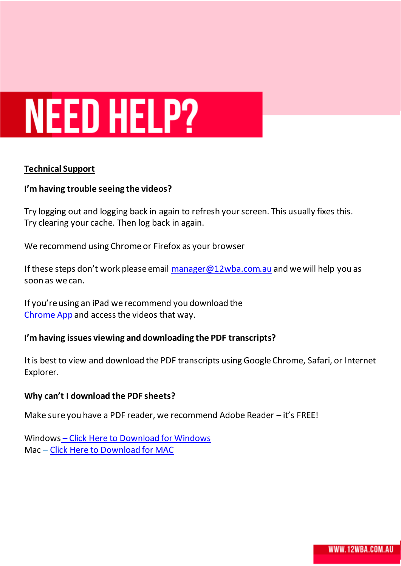### **Technical Support**

### **I'm having trouble seeing the videos?**

Try logging out and logging back in again to refresh your screen. This usually fixes this. Try clearing your cache. Then log back in again.

We recommend using Chrome or Firefox as your browser

If these steps don't work please email [manager@12wba.com.au](mailto:manager@12wba.com.au) and we will help you as soon as we can.

If you're using an iPad we recommend you download the [Chrome App](https://itunes.apple.com/ph/app/chrome-web-browser-by-google/id535886823?mt=8) and access the videos that way.

### **I'm having issues viewing and downloading the PDF transcripts?**

It is best to view and download the PDF transcripts using Google Chrome, Safari, or Internet Explorer.

### **Why can't I download the PDF sheets?**

Make sure you have a PDF reader, we recommend Adobe Reader – it's FREE!

Windows – [Click Here to Download for Windows](https://helpx.adobe.com/acrobat/kb/install-reader-dc-windows.html) Mac – [Click Here to Download for MAC](https://helpx.adobe.com/acrobat/kb/install-reader-dc-mac-os.html)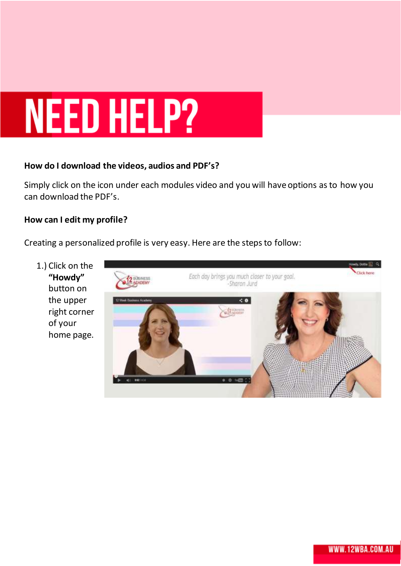### **How do I download the videos, audios and PDF's?**

Simply click on the icon under each modules video and you will have options as to how you can download the PDF's.

### **How can I edit my profile?**

Creating a personalized profile is very easy. Here are the steps to follow:

1.) Click on the **"Howdy"** button on the upper right corner of your home page.

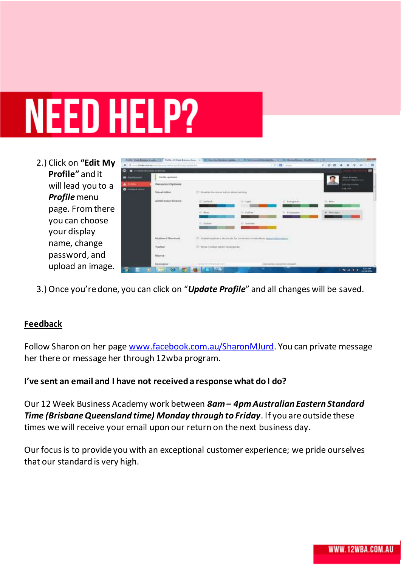2.) Click on **"Edit My Profile"** and it will lead you to a **Profile** menu page. From there you can choose your display name, change password, and upload an image.

|                                 | ( G .- Links and an increase also bedis partners)                  |                                                                                                                                                        |                              | 2.4 Bl Ave.                             | 产业商<br>- 表                         |   |
|---------------------------------|--------------------------------------------------------------------|--------------------------------------------------------------------------------------------------------------------------------------------------------|------------------------------|-----------------------------------------|------------------------------------|---|
| W. Il must four est number<br>യ |                                                                    |                                                                                                                                                        |                              |                                         |                                    | m |
| <b>B</b> Continued              | <b>Profite randalesi</b>                                           |                                                                                                                                                        |                              |                                         | share knows:                       |   |
|                                 | Personal Ciptions                                                  |                                                                                                                                                        |                              |                                         | Life Also Promise                  |   |
| <b>O</b> Tallace Heles          | Visual Editor<br>[1] Email for the should adduct selves arriving   |                                                                                                                                                        |                              |                                         | <b>Lot Det</b>                     |   |
|                                 | <b>Material Control and Control Control</b><br>Admin Collar Scheme | スストロウストラ<br>(1) Include                                                                                                                                | <b>COLLAGE</b><br>127 August | and Completed PT-3 since<br>U. Bangrami | <b>TAXES</b><br><b>Ell. Advise</b> |   |
|                                 |                                                                    | $= 0.44$                                                                                                                                               | ID Exting                    | 11 Economist                            | <b>A Hidright</b>                  |   |
|                                 |                                                                    | 22.500446                                                                                                                                              | 17. Suicker                  |                                         |                                    |   |
|                                 | consumer representatives<br>Hinghoverti Shortcuts                  | THE FILM PART OF PARTICULAR PARTICULAR CONTINUES TO THE RELEASE OF THE R<br>ET: Altable keybaard playtople for contenent moderation, keys later entroy |                              |                                         |                                    |   |
|                                 | <b>TOOTOE</b><br>naan sii                                          | ITT. Show Toutbec'when yeremp like.<br><b>CONTRACTOR</b> CONTRACTO                                                                                     |                              |                                         |                                    |   |
|                                 | <b>NUMBER</b><br>,,,,,,,                                           |                                                                                                                                                        |                              |                                         |                                    |   |
|                                 | <b>Ungernanne</b>                                                  | Johan S.I Harnah con-                                                                                                                                  |                              | Departure of feetness temperature       |                                    |   |

3.) Once you're done, you can click on "*Update Profile*" and all changes will be saved.

### **Feedback**

Follow Sharon on her page [www.facebook.com.au/SharonMJurd](http://www.facebook.com.au/SharonMJurd). You can private message her there or message her through 12wba program.

**I've sent an email and I have not received a response what do I do?**

Our 12 Week Business Academy work between *8am – 4pm Australian Eastern Standard Time (Brisbane Queensland time) Monday through to Friday*. If you are outside these times we will receive your email upon our return on the next business day.

Our focus is to provide you with an exceptional customer experience; we pride ourselves that our standard is very high.